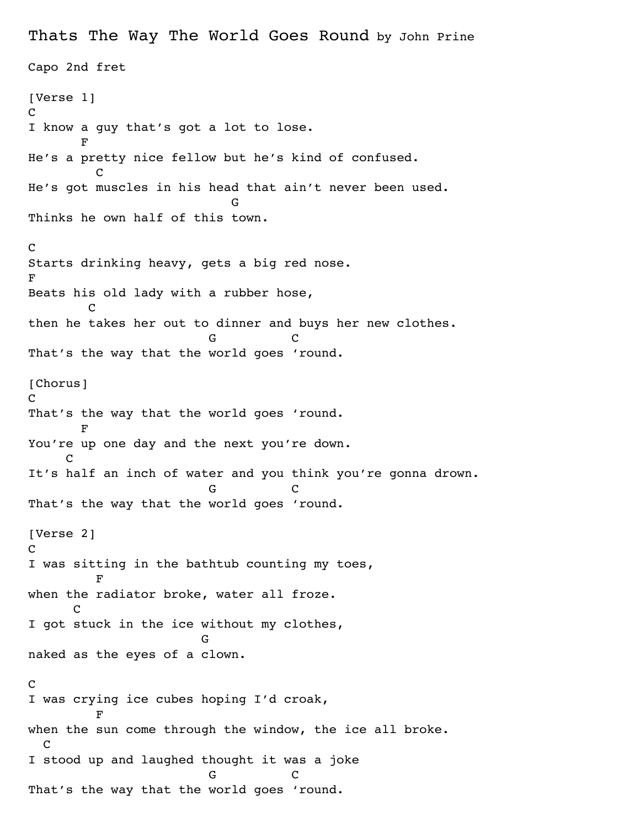Thats The Way The World Goes Round by John Prine Capo 2nd fret [Verse 1]  $\mathcal{C}$ I know a guy that's got a lot to lose. **Figure 1** He's a pretty nice fellow but he's kind of confused. **C** He's got muscles in his head that ain't never been used. General Control of the Control of General Control of General Control of General Control of General Control of Thinks he own half of this town. C Starts drinking heavy, gets a big red nose. F Beats his old lady with a rubber hose, **C** C then he takes her out to dinner and buys her new clothes. G C That's the way that the world goes 'round. [Chorus] C That's the way that the world goes 'round. **Figure 1** You're up one day and the next you're down. **C** It's half an inch of water and you think you're gonna drown. G C That's the way that the world goes 'round. [Verse 2] C I was sitting in the bathtub counting my toes, **F** when the radiator broke, water all froze. **C** I got stuck in the ice without my clothes, **Green Contracts** naked as the eyes of a clown. C I was crying ice cubes hoping I'd croak, **F** when the sun come through the window, the ice all broke. C I stood up and laughed thought it was a joke G C That's the way that the world goes 'round.